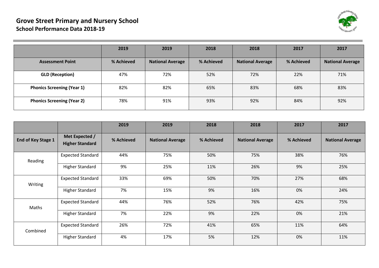

|                                   | 2019       | 2019                    | 2018       | 2018                    | 2017       | 2017                    |
|-----------------------------------|------------|-------------------------|------------|-------------------------|------------|-------------------------|
| <b>Assessment Point</b>           | % Achieved | <b>National Average</b> | % Achieved | <b>National Average</b> | % Achieved | <b>National Average</b> |
| <b>GLD (Reception)</b>            | 47%        | 72%                     | 52%        | 72%                     | 22%        | 71%                     |
| <b>Phonics Screening (Year 1)</b> | 82%        | 82%                     | 65%        | 83%                     | 68%        | 83%                     |
| <b>Phonics Screening (Year 2)</b> | 78%        | 91%                     | 93%        | 92%                     | 84%        | 92%                     |

|                    |                                          | 2019       | 2019                    | 2018       | 2018                    | 2017       | 2017                    |
|--------------------|------------------------------------------|------------|-------------------------|------------|-------------------------|------------|-------------------------|
| End of Key Stage 1 | Met Expected /<br><b>Higher Standard</b> | % Achieved | <b>National Average</b> | % Achieved | <b>National Average</b> | % Achieved | <b>National Average</b> |
| Reading            | <b>Expected Standard</b>                 | 44%        | 75%                     | 50%        | 75%                     | 38%        | 76%                     |
|                    | Higher Standard                          | 9%         | 25%                     | 11%        | 26%                     | 9%         | 25%                     |
| Writing            | <b>Expected Standard</b>                 | 33%        | 69%                     | 50%        | 70%                     | 27%        | 68%                     |
|                    | <b>Higher Standard</b>                   | 7%         | 15%                     | 9%         | 16%                     | 0%         | 24%                     |
| Maths              | <b>Expected Standard</b>                 | 44%        | 76%                     | 52%        | 76%                     | 42%        | 75%                     |
|                    | <b>Higher Standard</b>                   | 7%         | 22%                     | 9%         | 22%                     | 0%         | 21%                     |
| Combined           | <b>Expected Standard</b>                 | 26%        | 72%                     | 41%        | 65%                     | 11%        | 64%                     |
|                    | <b>Higher Standard</b>                   | 4%         | 17%                     | 5%         | 12%                     | 0%         | 11%                     |